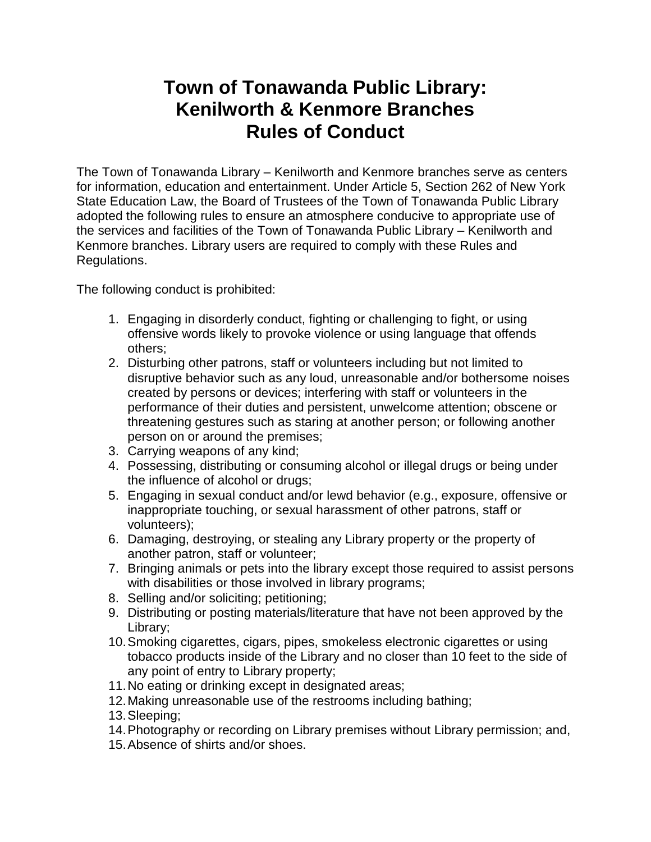## **Town of Tonawanda Public Library: Kenilworth & Kenmore Branches Rules of Conduct**

The Town of Tonawanda Library – Kenilworth and Kenmore branches serve as centers for information, education and entertainment. Under Article 5, Section 262 of New York State Education Law, the Board of Trustees of the Town of Tonawanda Public Library adopted the following rules to ensure an atmosphere conducive to appropriate use of the services and facilities of the Town of Tonawanda Public Library – Kenilworth and Kenmore branches. Library users are required to comply with these Rules and Regulations.

The following conduct is prohibited:

- 1. Engaging in disorderly conduct, fighting or challenging to fight, or using offensive words likely to provoke violence or using language that offends others;
- 2. Disturbing other patrons, staff or volunteers including but not limited to disruptive behavior such as any loud, unreasonable and/or bothersome noises created by persons or devices; interfering with staff or volunteers in the performance of their duties and persistent, unwelcome attention; obscene or threatening gestures such as staring at another person; or following another person on or around the premises;
- 3. Carrying weapons of any kind;
- 4. Possessing, distributing or consuming alcohol or illegal drugs or being under the influence of alcohol or drugs;
- 5. Engaging in sexual conduct and/or lewd behavior (e.g., exposure, offensive or inappropriate touching, or sexual harassment of other patrons, staff or volunteers);
- 6. Damaging, destroying, or stealing any Library property or the property of another patron, staff or volunteer;
- 7. Bringing animals or pets into the library except those required to assist persons with disabilities or those involved in library programs;
- 8. Selling and/or soliciting; petitioning;
- 9. Distributing or posting materials/literature that have not been approved by the Library;
- 10.Smoking cigarettes, cigars, pipes, smokeless electronic cigarettes or using tobacco products inside of the Library and no closer than 10 feet to the side of any point of entry to Library property;
- 11.No eating or drinking except in designated areas;
- 12.Making unreasonable use of the restrooms including bathing;
- 13.Sleeping;
- 14.Photography or recording on Library premises without Library permission; and,
- 15.Absence of shirts and/or shoes.